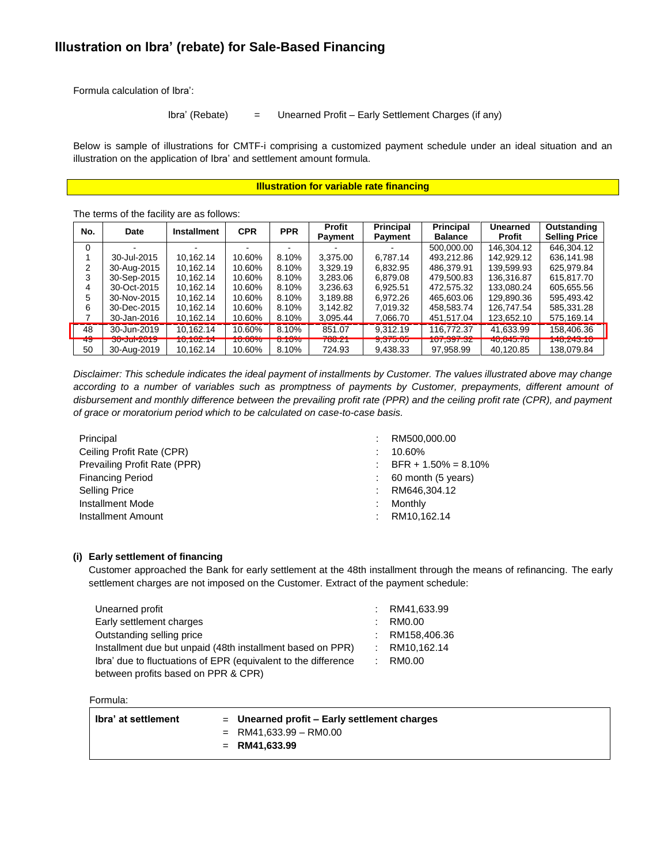# **Illustration on Ibra' (rebate) for Sale-Based Financing**

Formula calculation of Ibra':

#### Ibra' (Rebate) = Unearned Profit – Early Settlement Charges (if any)

Below is sample of illustrations for CMTF-i comprising a customized payment schedule under an ideal situation and an illustration on the application of Ibra' and settlement amount formula.

#### **Illustration for variable rate financing**

The terms of the facility are as follows:

| No.      | Date                              | <b>Installment</b>     | <b>CPR</b>              | <b>PPR</b>        | Profit<br>Payment | Principal<br>Payment        | Principal<br><b>Balance</b>    | <b>Unearned</b><br>Profit | Outstanding<br><b>Selling Price</b> |
|----------|-----------------------------------|------------------------|-------------------------|-------------------|-------------------|-----------------------------|--------------------------------|---------------------------|-------------------------------------|
| $\Omega$ |                                   |                        |                         |                   |                   |                             | 500.000.00                     | 146.304.12                | 646.304.12                          |
|          | 30-Jul-2015                       | 10.162.14              | 10.60%                  | 8.10%             | 3,375.00          | 6.787.14                    | 493,212.86                     | 142.929.12                | 636,141.98                          |
|          | 30-Aug-2015                       | 10.162.14              | 10.60%                  | 8.10%             | 3.329.19          | 6.832.95                    | 486.379.91                     | 139.599.93                | 625.979.84                          |
| 3        | 30-Sep-2015                       | 10,162.14              | 10.60%                  | 8.10%             | 3,283.06          | 6,879.08                    | 479,500.83                     | 136,316.87                | 615.817.70                          |
| 4        | 30-Oct-2015                       | 10.162.14              | 10.60%                  | 8.10%             | 3.236.63          | 6.925.51                    | 472.575.32                     | 133.080.24                | 605,655.56                          |
| 5        | 30-Nov-2015                       | 10.162.14              | 10.60%                  | 8.10%             | 3,189.88          | 6.972.26                    | 465,603.06                     | 129,890.36                | 595.493.42                          |
| 6        | 30-Dec-2015                       | 10.162.14              | 10.60%                  | 8.10%             | 3,142.82          | 7,019.32                    | 458.583.74                     | 126.747.54                | 585.331.28                          |
|          | 30-Jan-2016                       | 10,162.14              | 10.60%                  | 8.10%             | 3,095.44          | 7,066.70                    | 451,517.04                     | 123,652.10                | 575,169.14                          |
| 48       | 30-Jun-2019                       | 10.162.14              | 10.60%                  | 8.10%             | 851.07            | 9,312.19                    | 116.772.37                     | 41.633.99                 | 158,406.36                          |
| 49<br>50 | <b>30-JUI-ZUT9</b><br>30-Aug-2019 | 10,102.14<br>10.162.14 | <b>10.00%</b><br>10.60% | $0.10\%$<br>8.10% | 100.21<br>724.93  | <b>9.373.03</b><br>9.438.33 | <b>107,397.34</b><br>97,958.99 | 40,040.70<br>40.120.85    | 140, 243. TU<br>138.079.84          |

*Disclaimer: This schedule indicates the ideal payment of installments by Customer. The values illustrated above may change according to a number of variables such as promptness of payments by Customer, prepayments, different amount of disbursement and monthly difference between the prevailing profit rate (PPR) and the ceiling profit rate (CPR), and payment of grace or moratorium period which to be calculated on case-to-case basis.*

| Principal                    |   | RM500,000.00            |
|------------------------------|---|-------------------------|
| Ceiling Profit Rate (CPR)    |   | 10.60%                  |
| Prevailing Profit Rate (PPR) |   | $BFR + 1.50\% = 8.10\%$ |
| <b>Financing Period</b>      |   | 60 month (5 years)      |
| <b>Selling Price</b>         | ÷ | RM646,304.12            |
| Installment Mode             |   | Monthly                 |
| Installment Amount           | ٠ | RM10.162.14             |

### **(i) Early settlement of financing**

Customer approached the Bank for early settlement at the 48th installment through the means of refinancing. The early settlement charges are not imposed on the Customer. Extract of the payment schedule:

| Unearned profit                                                | t. | RM41,633.99  |
|----------------------------------------------------------------|----|--------------|
| Early settlement charges                                       | ÷. | RM0.00       |
| Outstanding selling price                                      |    | RM158,406.36 |
| Installment due but unpaid (48th installment based on PPR)     |    | RM10,162.14  |
| Ibra' due to fluctuations of EPR (equivalent to the difference |    | : RM0.00     |
| between profits based on PPR & CPR)                            |    |              |

#### Formula:

| ∣ Ibra' at settlement | $=$ Unearned profit $=$ Early settlement charges |
|-----------------------|--------------------------------------------------|
|                       | $=$ RM41,633.99 $-$ RM0.00                       |
|                       | $=$ RM41.633.99                                  |
|                       |                                                  |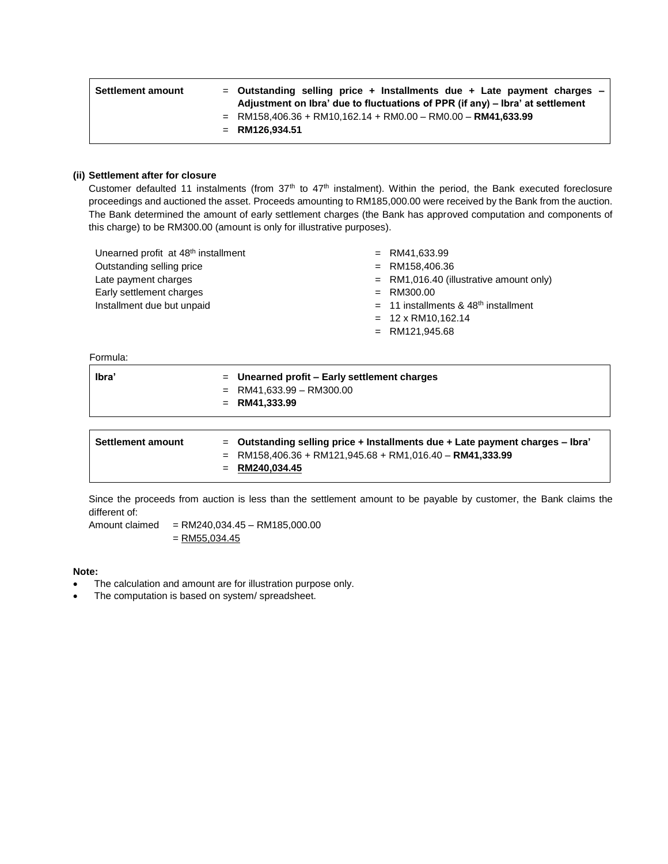| <b>Settlement amount</b> | $=$ Outstanding selling price + Installments due + Late payment charges $-$<br>Adjustment on Ibra' due to fluctuations of PPR (if any) – Ibra' at settlement |  |
|--------------------------|--------------------------------------------------------------------------------------------------------------------------------------------------------------|--|
|                          | $=$ RM158,406.36 + RM10,162.14 + RM0.00 - RM0.00 - RM41,633.99<br>$=$ RM126.934.51                                                                           |  |

#### **(ii) Settlement after for closure**

Customer defaulted 11 instalments (from 37<sup>th</sup> to 47<sup>th</sup> instalment). Within the period, the Bank executed foreclosure proceedings and auctioned the asset. Proceeds amounting to RM185,000.00 were received by the Bank from the auction. The Bank determined the amount of early settlement charges (the Bank has approved computation and components of this charge) to be RM300.00 (amount is only for illustrative purposes).

| Unearned profit at 48 <sup>th</sup> installment | $=$ RM41,633.99                                    |
|-------------------------------------------------|----------------------------------------------------|
| Outstanding selling price                       | $=$ RM158.406.36                                   |
| Late payment charges                            | $=$ RM1,016.40 (illustrative amount only)          |
| Early settlement charges                        | $=$ RM300.00                                       |
| Installment due but unpaid                      | $=$ 11 installments & 48 <sup>th</sup> installment |
|                                                 | $= 12 \times$ RM10,162.14                          |
|                                                 | $=$ RM121,945.68                                   |
|                                                 |                                                    |

Formula:

| lbra' | $=$ Unearned profit $=$ Early settlement charges |
|-------|--------------------------------------------------|
|       | $=$ RM41,633.99 - RM300.00                       |
|       | $=$ RM41.333.99                                  |
|       |                                                  |

| <b>Settlement amount</b> | $=$ Outstanding selling price + Installments due + Late payment charges $-$ Ibra' |
|--------------------------|-----------------------------------------------------------------------------------|
|                          | $=$ RM158,406.36 + RM121,945.68 + RM1,016.40 - RM41,333.99                        |
|                          | $=$ RM240.034.45                                                                  |
|                          |                                                                                   |

Since the proceeds from auction is less than the settlement amount to be payable by customer, the Bank claims the different of:

Amount claimed = RM240,034.45 – RM185,000.00  $=$  RM55,034.45

**Note:** 

- The calculation and amount are for illustration purpose only.
- The computation is based on system/ spreadsheet.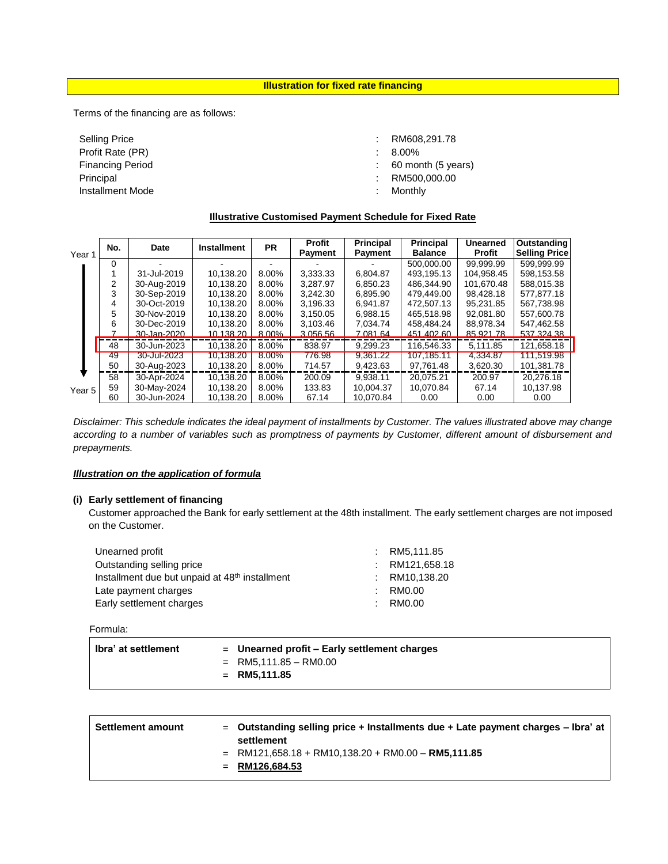**Illustration for fixed rate financing**

Terms of the financing are as follows:

Selling Price Profit Rate (PR) Financing Period Principal Installment Mode : RM608,291.78

- : 8.00%
- : 60 month (5 years)
- : RM500,000.00
- : Monthly

# **Illustrative Customised Payment Schedule for Fixed Rate**

| Year 1 | No.<br>Date |                   | <b>Installment</b> | <b>PR</b> | Profit<br>Payment | <b>Principal</b><br>Payment | <b>Principal</b><br><b>Balance</b> | <b>Unearned</b><br><b>Profit</b> | <b>Outstanding</b><br><b>Selling Price</b> |
|--------|-------------|-------------------|--------------------|-----------|-------------------|-----------------------------|------------------------------------|----------------------------------|--------------------------------------------|
|        | 0           |                   |                    |           |                   |                             | 500.000.00                         | 99.999.99                        | 599.999.99                                 |
|        |             | 31-Jul-2019       | 10.138.20          | 8.00%     | 3.333.33          | 6.804.87                    | 493.195.13                         | 104.958.45                       | 598.153.58                                 |
|        |             | 30-Aug-2019       | 10.138.20          | 8.00%     | 3.287.97          | 6.850.23                    | 486.344.90                         | 101.670.48                       | 588,015.38                                 |
|        | 3           | 30-Sep-2019       | 10.138.20          | 8.00%     | 3.242.30          | 6.895.90                    | 479.449.00                         | 98.428.18                        | 577.877.18                                 |
|        | 4           | 30-Oct-2019       | 10.138.20          | 8.00%     | 3.196.33          | 6.941.87                    | 472.507.13                         | 95.231.85                        | 567.738.98                                 |
|        | 5           | 30-Nov-2019       | 10.138.20          | 8.00%     | 3.150.05          | 6.988.15                    | 465.518.98                         | 92.081.80                        | 557.600.78                                 |
|        | 6           | 30-Dec-2019       | 10.138.20          | 8.00%     | 3.103.46          | 7.034.74                    | 458.484.24                         | 88.978.34                        | 547.462.58                                 |
|        |             | $30 - Jan - 2020$ | 10.138.20          | 8.00%     | 3.056.56          | 7.081.64                    | 451.402.60                         | 85.921.78                        | 537 324 38                                 |
|        | 48          | 30-Jun-2023       | 10.138.20          | 8.00%     | 838.97            | 9.299.23                    | 116.546.33                         | 5.111.85                         | 121.658.18                                 |
|        | 49          | 30-Jul-2023       | 10.138.20          | 8.00%     | 776.98            | 9.361.22                    | 107.185.11                         | 4.334.87                         | 111.519.98                                 |
|        | 50          | 30-Aug-2023       | 10,138.20          | 8.00%     | 714.57            | 9,423.63                    | 97,761.48                          | 3,620.30                         | 101,381.78                                 |
|        | 58          | 30-Apr-2024       | 10.138.20          | 8.00%     | 200.09            | 9.938.11                    | 20.075.21                          | 200.97                           | 20.276.18                                  |
| Year 5 | 59          | 30-May-2024       | 10.138.20          | 8.00%     | 133.83            | 10.004.37                   | 10.070.84                          | 67.14                            | 10.137.98                                  |
|        | 60          | 30-Jun-2024       | 10,138.20          | 8.00%     | 67.14             | 10.070.84                   | 0.00                               | 0.00                             | 0.00                                       |

*Disclaimer: This schedule indicates the ideal payment of installments by Customer. The values illustrated above may change according to a number of variables such as promptness of payments by Customer, different amount of disbursement and prepayments.*

### *Illustration on the application of formula*

#### **(i) Early settlement of financing**

Customer approached the Bank for early settlement at the 48th installment. The early settlement charges are not imposed on the Customer.

| Unearned profit                                            | RM5.111.85   |
|------------------------------------------------------------|--------------|
| Outstanding selling price                                  | RM121.658.18 |
| Installment due but unpaid at 48 <sup>th</sup> installment | RM10,138.20  |
| Late payment charges                                       | RM0.00       |
| Early settlement charges                                   | RM0.00       |

Formula:

| lbra' at settlement | $=$ Unearned profit – Early settlement charges<br>$=$ RM5,111.85 - RM0.00<br>$=$ RM5.111.85 |
|---------------------|---------------------------------------------------------------------------------------------|
|                     |                                                                                             |

| <b>Settlement amount</b> | $=$ Outstanding selling price + Installments due + Late payment charges – Ibra' at<br>settlement |
|--------------------------|--------------------------------------------------------------------------------------------------|
|                          | $=$ RM121.658.18 + RM10.138.20 + RM0.00 - RM5.111.85<br>$=$ RM126.684.53                         |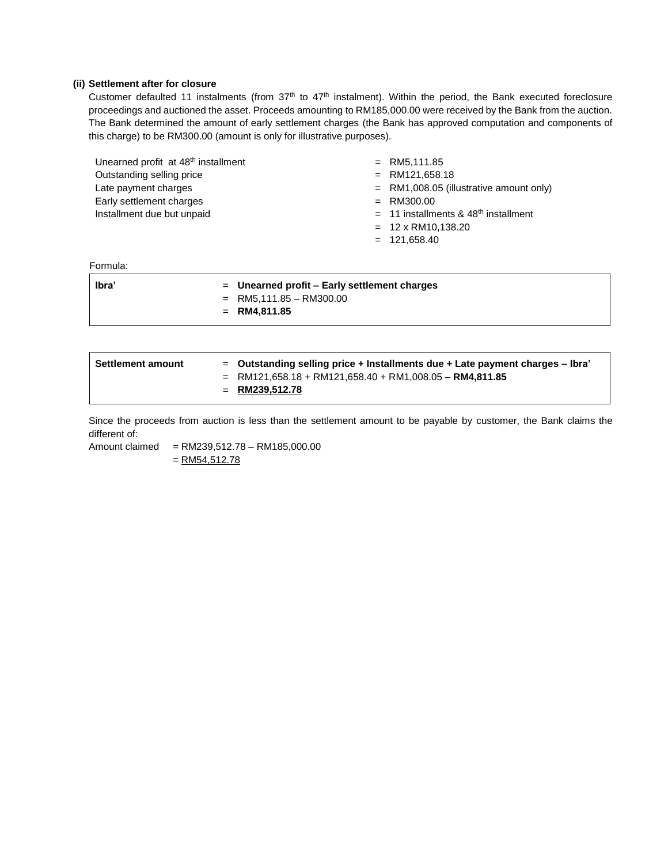### **(ii) Settlement after for closure**

Customer defaulted 11 instalments (from  $37<sup>th</sup>$  to  $47<sup>th</sup>$  instalment). Within the period, the Bank executed foreclosure proceedings and auctioned the asset. Proceeds amounting to RM185,000.00 were received by the Bank from the auction. The Bank determined the amount of early settlement charges (the Bank has approved computation and components of this charge) to be RM300.00 (amount is only for illustrative purposes).

| Unearned profit at 48 <sup>th</sup> installment<br>Outstanding selling price<br>Late payment charges<br>Early settlement charges<br>Installment due but unpaid | $=$ RM5,111.85<br>$=$ RM121,658.18<br>$=$ RM1,008.05 (illustrative amount only)<br>$=$ RM300.00<br>$=$ 11 installments & 48 <sup>th</sup> installment<br>$= 12 \times$ RM10,138.20 |
|----------------------------------------------------------------------------------------------------------------------------------------------------------------|------------------------------------------------------------------------------------------------------------------------------------------------------------------------------------|
|                                                                                                                                                                | $= 121,658.40$                                                                                                                                                                     |
| Formula:                                                                                                                                                       |                                                                                                                                                                                    |

| lbra' | $=$ Unearned profit – Early settlement charges |
|-------|------------------------------------------------|
|       | $=$ RM5,111.85 - RM300.00                      |
|       | $=$ RM4.811.85                                 |
|       |                                                |

| <b>Settlement amount</b> | $=$ Outstanding selling price + Installments due + Late payment charges $-$ Ibra'<br>$=$ RM121,658.18 + RM121,658.40 + RM1,008.05 - RM4,811.85<br>= RM239,512.78 |
|--------------------------|------------------------------------------------------------------------------------------------------------------------------------------------------------------|
|--------------------------|------------------------------------------------------------------------------------------------------------------------------------------------------------------|

Since the proceeds from auction is less than the settlement amount to be payable by customer, the Bank claims the different of:

Amount claimed = RM239,512.78 – RM185,000.00  $=$  RM54,512.78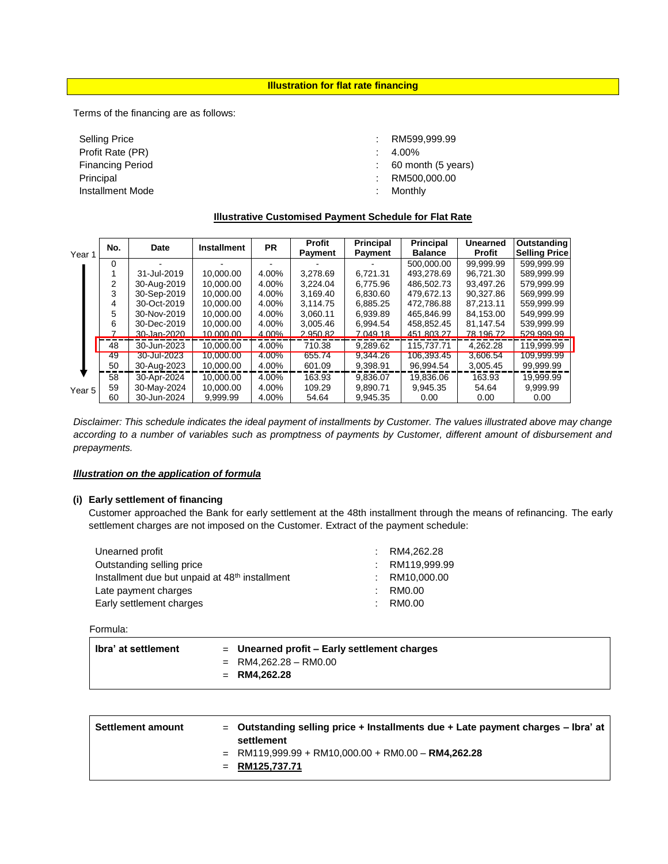**Illustration for flat rate financing**

Terms of the financing are as follows:

Selling Price Profit Rate (PR) Financing Period Principal Installment Mode

: RM599,999.99

- : 4.00%
- : 60 month (5 years)
- : RM500,000.00
- : Monthly

## **Illustrative Customised Payment Schedule for Flat Rate**

| Year 1 | No. | Date        | <b>Installment</b> | <b>PR</b> | <b>Profit</b><br>Payment | <b>Principal</b><br><b>Payment</b> | <b>Principal</b><br><b>Balance</b> | <b>Unearned</b><br>Profit | Outstanding<br><b>Selling Price</b> |
|--------|-----|-------------|--------------------|-----------|--------------------------|------------------------------------|------------------------------------|---------------------------|-------------------------------------|
|        | 0   |             |                    |           |                          |                                    | 500.000.00                         | 99.999.99                 | 599,999.99                          |
|        |     | 31-Jul-2019 | 10.000.00          | 4.00%     | 3.278.69                 | 6.721.31                           | 493.278.69                         | 96.721.30                 | 589.999.99                          |
|        |     | 30-Aug-2019 | 10.000.00          | 4.00%     | 3.224.04                 | 6.775.96                           | 486.502.73                         | 93.497.26                 | 579.999.99                          |
|        | 3   | 30-Sep-2019 | 10.000.00          | 4.00%     | 3.169.40                 | 6.830.60                           | 479.672.13                         | 90.327.86                 | 569.999.99                          |
|        | 4   | 30-Oct-2019 | 10.000.00          | 4.00%     | 3.114.75                 | 6.885.25                           | 472.786.88                         | 87.213.11                 | 559.999.99                          |
|        | 5   | 30-Nov-2019 | 10.000.00          | 4.00%     | 3.060.11                 | 6.939.89                           | 465.846.99                         | 84.153.00                 | 549.999.99                          |
|        | 6   | 30-Dec-2019 | 10.000.00          | 4.00%     | 3.005.46                 | 6.994.54                           | 458,852.45                         | 81.147.54                 | 539,999.99                          |
|        |     | 30-Jan-2020 | 10.000.00          | 4.00%     | 2.950.82                 | 7.049.18                           | 451.803.27                         | 78.196.72                 | 529,999.99                          |
|        | 48  | 30-Jun-2023 | 10.000.00          | 4.00%     | 710.38                   | 9.289.62                           | 115.737.71                         | 4.262.28                  | 119.999.99                          |
|        | 49  | 30-Jul-2023 | 10.000.00          | 4.00%     | 655.74                   | 9.344.26                           | 106.393.45                         | 3.606.54                  | 109.999.99                          |
|        | 50  | 30-Aug-2023 | 10.000.00          | 4.00%     | 601.09                   | 9.398.91                           | 96.994.54                          | 3,005.45                  | 99.999.99                           |
|        | 58  | 30-Apr-2024 | 10.000.00          | 4.00%     | 163.93                   | 9.836.07                           | 19.836.06                          | 163.93                    | 19,999.99                           |
| Year 5 | 59  | 30-May-2024 | 10.000.00          | 4.00%     | 109.29                   | 9.890.71                           | 9.945.35                           | 54.64                     | 9.999.99                            |
|        | 60  | 30-Jun-2024 | 9.999.99           | 4.00%     | 54.64                    | 9.945.35                           | 0.00                               | 0.00                      | 0.00                                |

*Disclaimer: This schedule indicates the ideal payment of installments by Customer. The values illustrated above may change according to a number of variables such as promptness of payments by Customer, different amount of disbursement and prepayments.*

### *Illustration on the application of formula*

### **(i) Early settlement of financing**

Customer approached the Bank for early settlement at the 48th installment through the means of refinancing. The early settlement charges are not imposed on the Customer. Extract of the payment schedule:

| Unearned profit                                            | $:$ RM4.262.28  |
|------------------------------------------------------------|-----------------|
| Outstanding selling price                                  | RM119.999.99    |
| Installment due but unpaid at 48 <sup>th</sup> installment | $:$ RM10,000.00 |
| Late payment charges                                       | RM0.00          |
| Early settlement charges                                   | RM0.00          |

Formula:

| lbra' at settlement | $=$ Unearned profit – Early settlement charges<br>$=$ RM4.262.28 - RM0.00 |
|---------------------|---------------------------------------------------------------------------|
|                     | $=$ RM4.262.28                                                            |

| <b>Settlement amount</b> | $=$ Outstanding selling price + Installments due + Late payment charges – Ibra' at<br>settlement |
|--------------------------|--------------------------------------------------------------------------------------------------|
|                          | $=$ RM119,999.99 + RM10,000.00 + RM0.00 - RM4,262.28<br>$=$ RM125,737.71                         |